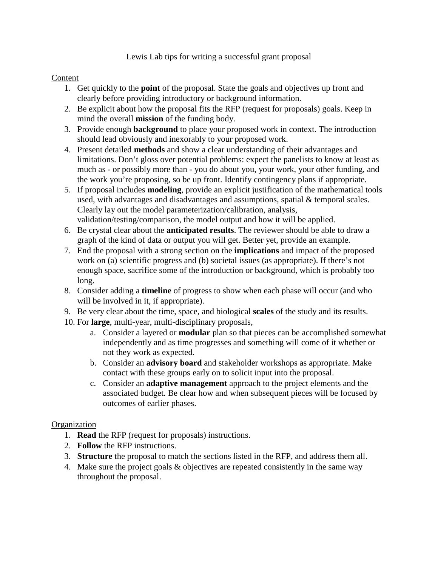Lewis Lab tips for writing a successful grant proposal

## Content

- 1. Get quickly to the **point** of the proposal. State the goals and objectives up front and clearly before providing introductory or background information.
- 2. Be explicit about how the proposal fits the RFP (request for proposals) goals. Keep in mind the overall **mission** of the funding body.
- 3. Provide enough **background** to place your proposed work in context. The introduction should lead obviously and inexorably to your proposed work.
- 4. Present detailed **methods** and show a clear understanding of their advantages and limitations. Don't gloss over potential problems: expect the panelists to know at least as much as - or possibly more than - you do about you, your work, your other funding, and the work you're proposing, so be up front. Identify contingency plans if appropriate.
- 5. If proposal includes **modeling**, provide an explicit justification of the mathematical tools used, with advantages and disadvantages and assumptions, spatial & temporal scales. Clearly lay out the model parameterization/calibration, analysis, validation/testing/comparison, the model output and how it will be applied.
- 6. Be crystal clear about the **anticipated results**. The reviewer should be able to draw a graph of the kind of data or output you will get. Better yet, provide an example.
- 7. End the proposal with a strong section on the **implications** and impact of the proposed work on (a) scientific progress and (b) societal issues (as appropriate). If there's not enough space, sacrifice some of the introduction or background, which is probably too long.
- 8. Consider adding a **timeline** of progress to show when each phase will occur (and who will be involved in it, if appropriate).
- 9. Be very clear about the time, space, and biological **scales** of the study and its results.
- 10. For **large**, multi-year, multi-disciplinary proposals,
	- a. Consider a layered or **modular** plan so that pieces can be accomplished somewhat independently and as time progresses and something will come of it whether or not they work as expected.
	- b. Consider an **advisory board** and stakeholder workshops as appropriate. Make contact with these groups early on to solicit input into the proposal.
	- c. Consider an **adaptive management** approach to the project elements and the associated budget. Be clear how and when subsequent pieces will be focused by outcomes of earlier phases.

## **Organization**

- 1. **Read** the RFP (request for proposals) instructions.
- 2. **Follow** the RFP instructions.
- 3. **Structure** the proposal to match the sections listed in the RFP, and address them all.
- 4. Make sure the project goals & objectives are repeated consistently in the same way throughout the proposal.